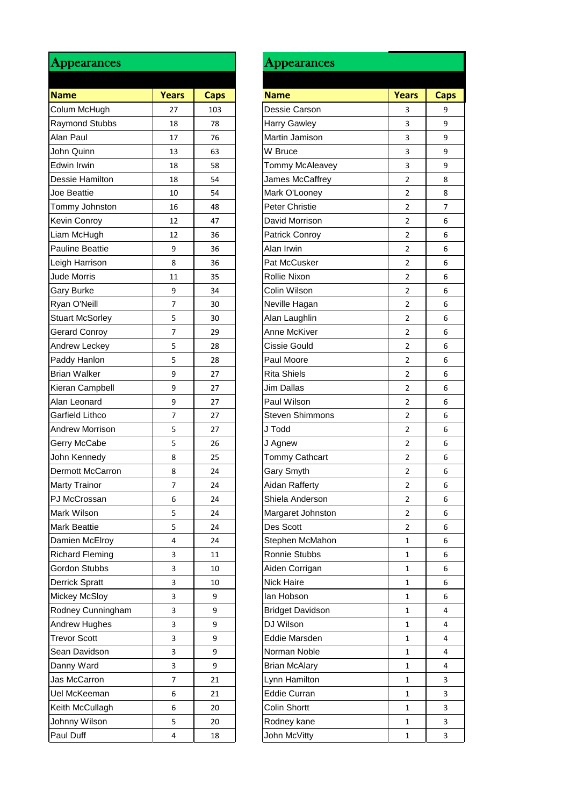| <b>Appearances</b>      |                |             |
|-------------------------|----------------|-------------|
|                         |                |             |
| <b>Name</b>             | <b>Years</b>   | <b>Caps</b> |
| Colum McHugh            | 27             | 103         |
| Raymond Stubbs          | 18             | 78          |
| Alan Paul               | 17             | 76          |
| John Quinn              | 13             | 63          |
| Edwin Irwin             | 18             | 58          |
| Dessie Hamilton         | 18             | 54          |
| Joe Beattie             | 10             | 54          |
| Tommy Johnston          | 16             | 48          |
| <b>Kevin Conroy</b>     | 12             | 47          |
| Liam McHugh             | 12             | 36          |
| <b>Pauline Beattie</b>  | 9              | 36          |
| Leigh Harrison          | 8              | 36          |
| <b>Jude Morris</b>      | 11             | 35          |
| <b>Gary Burke</b>       | 9              | 34          |
| Ryan O'Neill            | $\overline{7}$ | 30          |
| <b>Stuart McSorley</b>  | 5              | 30          |
| <b>Gerard Conroy</b>    | $\overline{7}$ | 29          |
| Andrew Leckey           | 5              | 28          |
| Paddy Hanlon            | 5              | 28          |
| <b>Brian Walker</b>     | 9              | 27          |
| Kieran Campbell         | 9              | 27          |
| Alan Leonard            | 9              | 27          |
| Garfield Lithco         | 7              | 27          |
| <b>Andrew Morrison</b>  | 5              | 27          |
| Gerry McCabe            | 5              | 26          |
| John Kennedy            | 8              | 25          |
| <b>Dermott McCarron</b> | 8              | 24          |
| <b>Marty Trainor</b>    | 7              | 24          |
| PJ McCrossan            | 6              | 24          |
| Mark Wilson             | 5              | 24          |
| <b>Mark Beattie</b>     | 5              | 24          |
|                         | 4              | 24          |
| Damien McElroy          | 3              |             |
| <b>Richard Fleming</b>  |                | 11          |
| Gordon Stubbs           | 3              | 10          |
| <b>Derrick Spratt</b>   | 3              | 10          |
| <b>Mickey McSloy</b>    | 3              | 9           |
| Rodney Cunningham       | 3              | 9           |
| Andrew Hughes           | 3              | 9           |
| <b>Trevor Scott</b>     | 3              | 9           |
| Sean Davidson           | 3              | 9           |
| Danny Ward              | 3              | 9           |
| Jas McCarron            | 7              | 21          |
| Uel McKeeman            | 6              | 21          |
| Keith McCullagh         | 6              | 20          |
| Johnny Wilson           | 5              | 20          |
| Paul Duff               | 4              | 18          |
|                         |                |             |

| Appearances            |              |             |
|------------------------|--------------|-------------|
| <b>Name</b>            | <b>Years</b> | <b>Caps</b> |
| Colum McHugh           | 27           | 103         |
| Raymond Stubbs         | 18           | 78          |
| Alan Paul              | 17           | 76          |
| John Quinn             | 13           | 63          |
| Edwin Irwin            | 18           | 58          |
| Dessie Hamilton        | 18           | 54          |
| Joe Beattie            |              |             |
| Tommy Johnston         | 10<br>16     | 54<br>48    |
|                        |              |             |
| Kevin Conroy           | 12           | 47          |
| Liam McHugh            | 12           | 36          |
| Pauline Beattie        | 9            | 36          |
| Leigh Harrison         | 8            | 36          |
| <b>Jude Morris</b>     | 11           | 35          |
| Gary Burke             | 9            | 34          |
| Ryan O'Neill           | 7            | 30          |
| <b>Stuart McSorley</b> | 5            | 30          |
| Gerard Conroy          | 7            | 29          |
| Andrew Leckey          | 5            | 28          |
| Paddy Hanlon           | 5            | 28          |
| Brian Walker           | 9            | 27          |
| Kieran Campbell        | 9            | 27          |
| Alan Leonard           | 9            | 27          |
| Garfield Lithco        | 7            | 27          |
| <b>Andrew Morrison</b> | 5            | 27          |
| Gerry McCabe           | 5            | 26          |
| John Kennedy           | 8            | 25          |
| Dermott McCarron       | 8            | 24          |
| Marty Trainor          | I            | 24          |
| PJ McCrossan           | 6            | 24          |
| Mark Wilson            | 5            | 24          |
| Mark Beattie           | 5            | 24          |
| Damien McElroy         | 4            | 24          |
| <b>Richard Fleming</b> | 3            | 11          |
| Gordon Stubbs          | 3            | 10          |
| Derrick Spratt         | 3            | 10          |
| Mickey McSloy          | 3            | 9           |
| Rodney Cunningham      | 3            | 9           |
| Andrew Hughes          | 3            | 9           |
| <b>Trevor Scott</b>    | 3            | 9           |
| Sean Davidson          | 3            | 9           |
| Danny Ward             | 3            | 9           |
| Jas McCarron           | 7            |             |
|                        |              | 21          |
| Uel McKeeman           | 6            | 21          |
| Keith McCullagh        | 6            | 20          |
| Johnny Wilson          | 5            | 20          |
| Paul Duff              | 4            | 18          |